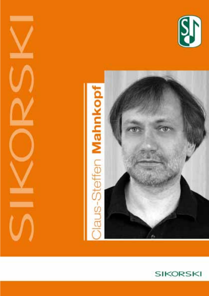





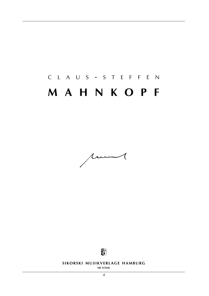# c l a u s - s t e f f e n **m a h n k o p f**





**SIKORSKI MUSIKVERLAGE HAMBURG** 

**sik 4/5646**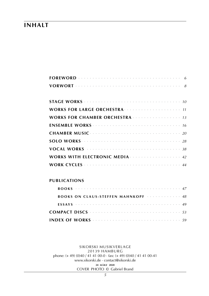## **inhalt**

| <b>WORKS FOR CHAMBER ORCHESTRA Express the service of 13</b>                                                                                                                                                                       |
|------------------------------------------------------------------------------------------------------------------------------------------------------------------------------------------------------------------------------------|
|                                                                                                                                                                                                                                    |
|                                                                                                                                                                                                                                    |
|                                                                                                                                                                                                                                    |
|                                                                                                                                                                                                                                    |
| <b>WORKS WITH ELECTRONIC MEDIA Election Contract Control Control Control Control Control Control Control Control Control Control Control Control Control Control Control Control Control Control Control Control Control Contr</b> |
|                                                                                                                                                                                                                                    |

### **publications**

| <b>BOOKS ON CLAUS-STEFFEN MAHNKOPF</b>                                                                            |  |  |  |  |  |  |
|-------------------------------------------------------------------------------------------------------------------|--|--|--|--|--|--|
|                                                                                                                   |  |  |  |  |  |  |
| <b>COMPACT DISCS</b> $\cdots$ $\cdots$ $\cdots$ $\cdots$ $\cdots$ $\cdots$ $\cdots$ $\cdots$ $\cdots$ $\cdots$ 53 |  |  |  |  |  |  |
|                                                                                                                   |  |  |  |  |  |  |

#### sikorski Musikverlage 20139 hamburg phone: (+ 49) (0)40 / 41 41 00-0 · fax: (+ 49) (0)40 / 41 41 00-41 www.sikorski.de · contact@sikorski.de **24 m ä r z 2020** cover photo © Gabriel Brand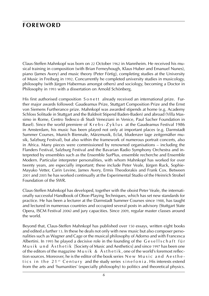## **foreword**

Claus-Steffen Mahnkopf was born on 22 October 1962 in Mannheim. He received his musical training in composition (with Brian Ferneyhough, Klaus Huber and Emanuel Nunes), piano (James Avery) and music theory (Peter Förtig), completing studies at the University of Music in Freiburg in 1992. Concurrently he completed university studies in musicology, philosophy (with Jürgen Habermas amongst others) and sociology, becoming a Doctor in Philosophy in 1993 with a dissertation on Arnold Schönberg.

His first authorised composition S o n ett already received an international prize. Further major awards followed: Gaudeamus Prize, Stuttgart Composition Prize and the Ernst von Siemens Furtherance prize. Mahnkopf was awarded stipends at home (e.g. Academy Schloss Solitude in Stuttgart and the Baldreit Stipend Baden-Baden) and abroad (Villa Massimo in Rome, Centro Tedesco di Studi Veneziani in Venice, Paul Sacher Foundation in Basel). Since the world premiere of  $K$ rebs- $Z$ yklus at the Gaudeamus Festival 1986 in Amsterdam, his music has been played not only at important places (e.g. Darmstadt Summer Courses, Munich Biennale, Märzmusik, Eclat, bludenzer tage zeitgemäßer musik, Salzburg Festival), but also within the framework of numerous portrait concerts, also in Africa. Many pieces were commissioned by renowned organisations – including the Flanders Festival, Salzburg Festival and the Bavarian Radio Symphony Orchestra and interpreted by ensembles such as the Ensemble SurPlus, ensemble recherche and Ensemble Modern. Particular interpreter personalities, with whom Mahnkopf has worked for over twenty years, are especially important; these include Peter Veale, Jürgen Ruck, Sophie-Mayuko Vetter, Carin Levine, James Avery, Ermis Theodorakis and Frank Cox. Between 2001 and 2005 he has worked continually at the Experimental Studio of the Heinrich Strobel Foundation of the SWR.

Claus-Steffen Mahnkopf has developed, together with the oboist Peter Veale, the internationally successful Handbook of Oboe-Playing Techniques, which has set new standards for practice. He has been a lecturer at the Darmstadt Summer Courses since 1988, has taught and lectured in numerous countries and occupied several posts in advisory (Stuttgart State Opera, ISCM Festival 2006) and jury capacities. Since 2009, regular master classes around the world.

Beyond that, Claus-Steffen Mahnkopf has published over 150 essays, written eight books and edited a further 13. In these he deals not only with new music but also composer personalities such as Wagner and Cage or the musical philosophy of Adorno and with Francesca Albertini. In 1995 he played a decisive role in the founding of the Gesellschaft für Musik und Ästhetik [Society of Music and Aesthetics] and since 1997 has been one of the editors of the magazine  $M$ u s i k & Ä s t h e t i k, one of the world's foremost reflection sources. Moreover, he is the editor of the book series New Music and Aesthetics in the 21<sup>st</sup> Century and the study series sine fonia. His interests extend from the arts and 'humanities' (especially philosophy) to politics and theoretical physics.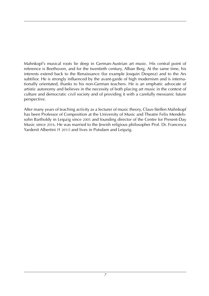Mahnkopf's musical roots lie deep in German-Austrian art music. His central point of reference is Beethoven, and for the twentieth century, Alban Berg. At the same time, his interests extend back to the Renaissance (for example Josquin Desprez) and to the Ars subtilior. He is strongly influenced by the avant-garde of high modernism and is internationally orientated, thanks to his non-German teachers. He is an emphatic advocate of artistic autonomy and believes in the necessity of both placing art music in the context of culture and democratic civil society and of providing it with a carefully messianic future perspective.

After many years of teaching activity as a lecturer of music theory, Claus-Steffen Mahnkopf has been Professor of Composition at the University of Music and Theatre Felix Mendelssohn Bartholdy in Leipzig since 2005 and founding director of the Centre for Present-Day Music since 2016. He was married to the Jewish religious philosopher Prof. Dr. Francesca Yardenit Albertini († 2011) and lives in Potsdam and Leipzig.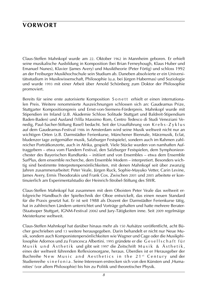## **vorwort**

Claus-Steffen Mahnkopf wurde am 22. Oktober 1962 in Mannheim geboren. Er erhielt seine musikalische Ausbildung in Komposition (bei Brian Ferneyhough, Klaus Huber und Emanuel Nunes), Klavier (James Avery) und Musiktheorie (Peter Förtig) und schloss 1992 an der Freiburger Musikhochschule sein Studium ab. Daneben absolvierte er ein Universitätsstudium in Musikwissenschaft, Philosophie (u.a. bei Jürgen Habermas) und Soziologie und wurde 1993 mit einer Arbeit über Arnold Schönberg zum Doktor der Philosophie promoviert.

Bereits für seine erste autorisierte Komposition S on ett erhielt er einen internationalen Preis. Weitere renommierte Auszeichnungen schlossen sich an: Gaudeamus Prize, Stuttgarter Kompositionspreis und Ernst-von-Siemens-Förderpreis. Mahnkopf wurde mit Stipendien im Inland (z.B. Akademie Schloss Solitude Stuttgart und Baldreit-Stipendium Baden-Baden) und Ausland (Villa Massimo Rom, Centro Tedesco di Studi Veneziani Venedig, Paul-Sacher-Stiftung Basel) bedacht. Seit der Uraufführung von K r e b s - Z y k l u s auf dem Gaudeamus-Festival 1986 in Amsterdam wird seine Musik weltweit nicht nur an wichtigen Orten (z.B. Darmstädter Ferienkurse, Münchener Biennale, Märzmusik, Eclat, bludenzer tage zeitgemäßer musik, Salzburger Festspiele), sondern auch im Rahmen zahlreicher Porträtkonzerte, auch in Afrika, gespielt. Viele Stücke wurden von namhaften Auftraggebern – etwa vom Flandern Festival, den Salzburger Festspielen, dem Symphonieorchester des Bayerischen Rundfunks – initiiert und von Ensembles – etwa dem Ensemble SurPlus, dem ensemble recherche, dem Ensemble Modern – interpretiert. Besonders wichtig sind bestimmte Interpretenpersönlichkeiten, mit denen Mahnkopf seit über zwanzig Jahren zusammenarbeitet: Peter Veale, Jürgen Ruck, Sophie-Mayuko Vetter, Carin Levine, James Avery, Ermis Theodorakis und Frank Cox. Zwischen 2001 und 2005 arbeitete er kontinuierlich am Experimentalstudio der Heinrich-Strobel-Stiftung des SWR.

Claus-Steffen Mahnkopf hat zusammen mit dem Oboisten Peter Veale das weltweit erfolgreiche Handbuch der Spieltechnik der Oboe entwickelt, das einen neuen Standard für die Praxis gesetzt hat. Er ist seit 1988 als Dozent der Darmstädter Ferienkurse tätig, hat in zahlreichen Ländern unterrichtet und Vorträge gehalten und hatte mehrere Berater- (Staatsoper Stuttgart, IGNM-Festival 2006) und Jury-Tätigkeiten inne. Seit 2009 regelmäige Meisterkurse weltweit.

Claus-Steffen Mahnkopf hat darüber hinaus mehr als 150 Aufsätze veröffentlicht, acht Bücher geschrieben und 13 weitere herausgegeben. Darin behandelt er nicht nur Neue Musik, sondern auch Komponistenpersönlichkeiten wie Wagner und Cage oder die Musikphilosophie Adornos und zu Francesca Albertini. 1995 gründete er die G e s e l l s c h a f t f ü r Musik und Ästhetik und gibt seit 1997 die Zeitschrift Musik & Ästhetik, eines der weltweit führenden Reflexionsorgane, heraus. Überdies ist er Herausgeber der Buchreihe New Music and Aesthetics in the 21st Century und der Studienreihe s in e f o n i a . Seine Interessen erstrecken sich von den Künsten und ,Humanities' (vor allem Philosophie) bis hin zu Politik und theoretischer Physik.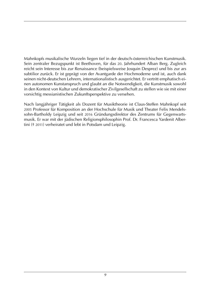Mahnkopfs musikalische Wurzeln liegen tief in der deutsch-österreichischen Kunstmusik. Sein zentraler Bezugspunkt ist Beethoven, für das 20. Jahrhundert Alban Berg. Zugleich reicht sein Interesse bis zur Renaissance (beispielsweise Josquin Desprez) und bis zur ars subtilior zurück. Er ist geprägt von der Avantgarde der Hochmoderne und ist, auch dank seinen nicht-deutschen Lehrern, internationalistisch ausgerichtet. Er vertritt emphatisch einen autonomen Kunstanspruch und glaubt an die Notwendigkeit, die Kunstmusik sowohl in den Kontext von Kultur und demokratischer Zivilgesellschaft zu stellen wie sie mit einer vorsichtig messianistischen Zukunftsperspektive zu versehen.

Nach langjähriger Tätigkeit als Dozent für Musiktheorie ist Claus-Steffen Mahnkopf seit 2005 Professor für Komposition an der Hochschule für Musik und Theater Felix Mendelssohn-Bartholdy Leipzig und seit 2016 Gründungsdirektor des Zentrums für Gegenwartsmusik. Er war mit der jüdischen Religionsphilosophin Prof. Dr. Francesca Yardenit Albertini († 2011) verheiratet und lebt in Potsdam und Leipzig.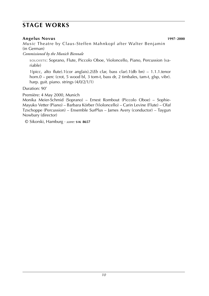## **stage works**

### **Angelus Novus 1997**-**2000**

*Music* Theatre by Claus-Steffen Mahnkopf after Walter Benjamin (in German)

*Commissioned by the Munich Biennale*

soloists: Soprano, Flute, Piccolo Oboe, Violoncello, Piano, Percussion (variable)

1(picc, alto flute).1(cor anglais).2(*Eb* clar, bass clar).1(db bn) – 1.1.1.tenor horn.0 – perc (crot, 5 wood bl, 3 tom-t, bass dr, 2 timbales, tam-t, glsp, vibr). harp. guit. piano. strings (4/0/2/1/1)

Duration: 90'

Première: 4 May 2000, Munich

Monika Meier-Schmid (Soprano) – Ernest Rombout (Piccolo Oboe) – Sophie-Mayuko Vetter (Piano) – Barbara Körber (Violoncello) – Carin Levine (Flute) – Olaf Tzschoppe (Percussion) – Ensemble SurPlus – James Avery (conductor) – Taygun Nowbary (director)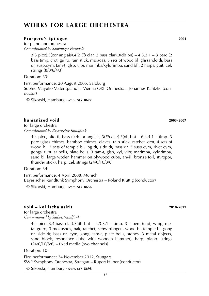## **works for large orchestra**

#### **Prospero's Epilogue 2004**

for piano and orchestra *Commissioned by Salzburger Festspiele*

> 3(3 picc).3(cor anglais).4(2 *Eb* clar, 2 bass clar).3(db bn) – 4.3.3.1 – 3 perc (2 bass timp, crot, guiro, rain stick, maracas, 3 sets of wood bl, glissando dr, bass dr, susp.cym, tam-t, glsp, vibr, marimba/xylorimba, sand bl). 2 harps. guit. cel. strings (8/0/6/4/3)

Duration: 33'

First performance: 20 August 2005, Salzburg Sophie-Mayuko Vetter (piano) – Vienna ORF Orchestra – Johannes Kalitzke (conductor)

© Sikorski, Hamburg · *score:* **s i k 8677**

#### **humanized void 2003**-**2007**

for large orchestra *Commissioned by Bayerischer Rundfunk*

> 4(4 picc, alto fl, bass fl).4(cor anglais).3(*Eb* clar).3(db bn) – 6.4.4.1 – timp. 3 perc (glass chimes, bamboo chimes, claves, rain stick, ratchet, crot, 4 sets of wood bl, 3 sets of temple bl, log dr, side dr, bass dr, 3 susp.cym, rivet cym, gongs, tubular bells, plate bells, 3 tam-t, glsp, xyl, vibr, marimba, xylorimba, sand bl, large woden hammer on plywood cube, anvil, bronze foil, styropor, thunder stick). harp. cel. strings (24/0/10/8/6)

Duration: 34'

First performance: 4 April 2008, Munich Bayerischer Rundfunk Symphony Orchestra – Roland Kluttig (conductor)

© Sikorski, Hamburg · *score:* **s i k 8656**

#### **void – kol ischa asirit 2010**-**2012**

for large orchestra *Commissioned by Südwestrundfunk*

> 4(4 picc).3.4(bass clar).3(db bn) – 4.3.3.1 – timp. 3-4 perc (crot, whip, metal guiro, 3 mokushos, bak, ratchet, schwirrbogen, wood bl, temple bl, gong dr, side dr, bass dr, cym, gong, tam-t, plate bells, stones, 3 metal objects, sand block, resonance cube with wooden hammer). harp. piano. strings  $(24/0/10/8/6)$  – fixed media (two channels)

Duration: 10'

First performance: 24 November 2012, Stuttgart SWR Symphony Orchestra, Stuttgart – Rupert Huber (conductor)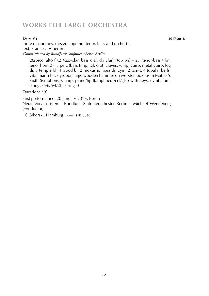## **works for large orchestra**

**Dov'è? 2017**/**2018** for two sopranos, mezzo-soprano, tenor, bass and orchestra text: Francesa Albertini *Commissioned by Rundfunk-Sinfonieorchester Berlin*

2(2picc, alto fl).2.4(*Eb*-clar, bass clar, db clar).1(db bn) – 2.1.tenor-bass trbn. tenor horn,0 – 3 perc (bass timp, tgl, crot, claves, whip, guiro, metal guiro, log dr, 3 temple bl, 4 wood bl, 2 mokusho, bass dr, cym, 2 tam-t, 4 tubular bells, vibr, marimba, styropor, large wooden hammer on wooden box [as in Mahler's Sixth Symphony]). harp. piano/hpd[amplified]/cel/glsp with keys. cymbalom. strings (6/6/6/4/2[5 strings])

Duration: 30'

First performance: 20 January 2019, Berlin

Neue Vocalsolisten – Rundfunk-Sinfonieorchester Berlin – Michael Wendeberg (conductor)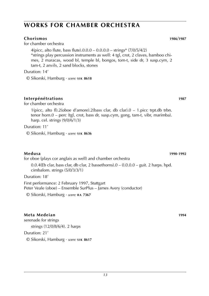## **works for chamber orchestra**

### **Chorismos 1986**/**1987**

for chamber orchestra

4(picc, alto flute, bass flute). $0.0.0 - 0.0.0.0 - \text{strings*} (7/0/5/4/2)$ \*strings play percussion instruments as well: 4 tgl, crot, 2 claves, bamboo chimes, 2 maracas, wood bl, temple bl, bongos, tom-t, side dr, 3 susp.cym, 2 tam-t, 2 anvils, 2 sand blocks, stones

Duration: 14'

© Sikorski, Hamburg · *score:* **s i k 8618**

### **Interpénétrations 1987**

for chamber orchestra

1(picc, alto fl).2(oboe d'amore).2(bass clar, db clar).0 – 1.picc trpt.db trbn. tenor horn.0 – perc (tgl, crot, bass dr, susp.cym, gong, tam-t, vibr, marimba). harp. cel. strings (9/0/6/1/3)

Duration: 11'

© Sikorski, Hamburg · *score:* **s i k 8636**

### **Medusa 1990**-**1992**

for oboe (plays cor anglais as well) and chamber orchestra

 $0.0.4$ (Eb clar, bass clar, db clar, 2 bassethorns). $0 - 0.0.0.0 -$  guit. 2 harps. hpd. cimbalom. strings (5/0/3/3/1)

Duration: 18'

First performance: 2 February 1997, Stuttgart Peter Veale (oboe) – Ensemble SurPlus – James Avery (conductor)

© Sikorski, Hamburg · *score:* **b a 7367**

### **Meta Medeian 1994**

serenade for strings strings (12/0/8/6/4). 2 harps Duration: 21'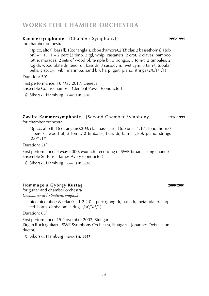## **works for chamber orchestra**

### **Kammersymphonie** [Chamber Symphony] **1993**/**1994**

for chamber orchestra

1(picc, alto fl, bass fl).1(cor anglais, oboe d'amore).2(*Eb* clar, 2 bassethorns).1(db bn) – 1.1.1.1 – 2 perc (2 timp, 2 tgl, whip, castanets, 2 crot, 2 claves, bamboo rattle, maracas, 2 sets of wood bl, temple bl, 5 bongos, 3 tom-t, 2 timbales, 2 log dr, wood plate dr, tenor dr, bass dr, 3 susp.cym, rivet cym, 3 tam-t, tubular bells, glsp, xyl, vibr, marimba, sand bl). harp. guit. piano. strings (2/0/1/1/1)

Duration: 30'

First performance: 16 May 2017, Geneva Ensemble Contrechamps – Clement Power (conductor)

© Sikorski, Hamburg · *score:* **s i k 8620**

#### **Zweite Kammersymphonie** [Second Chamber Symphony] **1997**-**1999** for chamber orchestra

1(picc, alto fl).1(cor anglais).2(*Eb* clar, bass clar). 1(db bn) – 1.1.1. tenor horn.0 – perc (5 wood bl, 3 tom-t, 2 timbales, bass dr, tam-t, glsp). piano. strings (2/0/1/1/1)

Duration: 21'

First performance: 4 May 2000, Munich (recording of SWR broadcasting chanel) Ensemble SurPlus – James Avery (conductor)

© Sikorski, Hamburg · *score:* **s i k 8630**

### **Hommage à György Kurtág 2000**/**2001**

for guitar and chamber orchestra *Commissioned by Südwestrundfunk*

> picc.picc oboe.*Eb* clar.0 – 1.2.2.0 – perc (gong dr, bass dr, metal plate). harp. cel. harm. cimbalom. strings (1/0/3/3/1)

Duration: 65'

First performance: 15 November 2002, Stuttgart Jürgen Ruck (guitar) – SWR Symphony Orchestra, Stuttgart – Johannes Debus (conductor)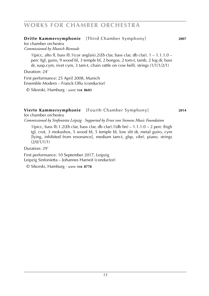## **works for chamber orchestra**

### **Dritte Kammersymphonie** [Third Chamber Symphony] **2007**

for chamber orchestra

*Commissioned by Munich Biennale*

1(picc, alto fl, bass fl).1(cor anglais).2(*Eb* clar, bass clar, db clar). 1 – 1.1.1.0 – perc (tgl, guiro, 9 wood bl, 3 temple bl, 2 bongos, 2 tom-t, tamb, 2 log dr, bass dr, susp.cym, rivet cym, 3 tam-t, chain rattle on cow bell). strings (1/1/1/2/1)

Duration: 24'

First performance: 25 April 2008, Munich Ensemble Modern – Franck Ollu (conductor)

© Sikorski, Hamburg · *score:* **s i k 8603**

### **Vierte Kammersymphonie** [Fourth Chamber Symphony] **2014**

for chamber orchestra *Commissioned by Sinfonietta Leipzig · Supported by Ernst von Siemens Music Foundation*

1(picc, bass fl).1.2(*Eb* clar, bass clar, db clar).1(db bn) – 1.1.1.0 – 2 perc (high tgl, crot, 3 mokushos, 5 wood bl, 5 temple bl, low slit dr, metal guiro, cym [lying, inhibited from resonance], medium tam-t, glsp, vibr). piano. strings (2/0/1/1/1)

Duration: 29'

First performance: 10 September 2017, Leipzig Leipzig Sinfonietta – Johannes Harneit (conductor)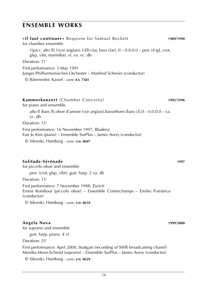| 1989/1990 |
|-----------|
|           |
|           |
|           |
|           |
| 1995/1996 |
|           |
|           |
|           |

### **Solitude-Sérénade 1997**

for piccolo oboe and ensemble

perc (crot, glsp, vibr). guit. harp. 2 va. db

Duration: 15'

First performance: 7 November 1998, Zurich

Ernest Rombout (piccolo oboe) – Ensemble Contrechamps – Emilio Pomàrico (conductor)

© Sikorski, Hamburg · *score:* **s i k 8610**

### **Angela Nova 1999**/**2000**

for soprano and ensemble

guit. harp. piano. 4 vl

Duration: 25'

First performance: April 2000, Stuttgart (recording of SWR broadcasting chanel) Monika Meier-Schmid (soprano) – Ensemble SurPlus – James Avery (conductor)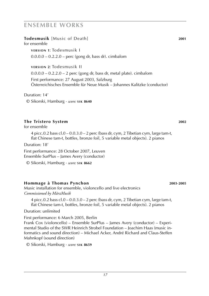**Todesmusik** [Music of Death] **2001** for ensemble

**v e r s i o n 1**: Todesmusik I 0.0.0.0 – 0.2.2.0 – perc (gong dr, bass dr). cimbalom

**v e r s i o n 2**: Todesmusik II

 $0.0.0.0 - 0.2.2.0 - 2$  perc (gong dr, bass dr, metal plate). cimbalom

First performance: 27 August 2003, Salzburg Österreichisches Ensemble für Neue Musik – Johannes Kalitzke (conductor)

Duration: 14'

© Sikorski, Hamburg · *score:* **s i k 8640**

### **The Tristero System 2002**

for ensemble

4 picc.0.2 bass cl.0 – 0.0.3.0 – 2 perc (bass dr, cym, 2 Tibetian cym, large tam-t, flat Chinese tam-t, bottles, bronze foil, 5 variable metal objects). 2 pianos

Duration: 18'

First performance: 28 October 2007, Leuven Ensemble SurPlus – James Avery (conductor)

© Sikorski, Hamburg · *score:* **s i k 8662**

### **Hommage à Thomas Pynchon 2003**-**2005**

Music installation for ensemble, violoncello and live electronics *Commissioned by MärzMusik*

4 picc.0.2 bass cl.0 – 0.0.3.0 – 2 perc (bass dr, cym, 2 Tibetian cym, large tam-t, flat Chinese tam-t, bottles, bronze foil, 5 variable metal objects). 2 pianos

Duration: unlimited

First performance: 6 March 2005, Berlin

Frank Cox (violoncello) – Ensemble SurPlus – James Avery (conductor) – Experimental Studio of the SWR Heinrich Strobel Foundation – Joachim Haas (music informatics and sound direction) – Michael Acker, André Richard and Claus-Steffen Mahnkopf (sound direction)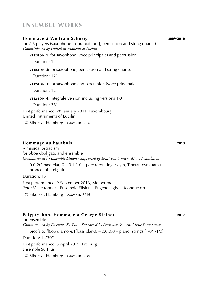| Hommage à Wolfram Schurig<br>for 2-6 players (saxophone [soprano/tenor], percussion and string quartet)<br>Commissioned by United Instruments of Lucilin<br><b>VERSION 1:</b> for saxophone (voce principale) and percussion<br>Duration: 12' | 2009/2010 |
|-----------------------------------------------------------------------------------------------------------------------------------------------------------------------------------------------------------------------------------------------|-----------|
| <b>VERSION 2:</b> for saxophone, percussion and string quartet<br>Duration: 12'                                                                                                                                                               |           |
| <b>VERSION 3:</b> for saxophone and percussion (voce principale)<br>Duration: 12'                                                                                                                                                             |           |
| <b>VERSION 4: integrale version including versions 1-3</b><br>Duration: 36'<br>First performance: 28 January 2011, Luxembourg<br>United Instruments of Lucilin<br>© Sikorski, Hamburg · score: SIK 8666                                       |           |

### **Hommage au hautbois 2013**

A musical ostracism for oboe obbligato and ensemble *Commissioned by Ensemble Elision · Supported by Ernst von Siemens Music Foundation*

 $0.0.2(2 \text{ bass clar})$ . $0 - 0.1.1.0$  – perc (crot, finger cym, Tibetan cym, tam-t, bronce foil). el.guit

Duration: 16'

First performance: 9 September 2016, Melbourne Peter Veale (oboe) – Ensemble Elision – Eugene Ughetti (conductor) © Sikorski, Hamburg · *score:* **s i k 8746**

### **Polyptychon. Hommage à George Steiner 2017**

for ensemble *Commissioned by Ensemble SurPlus · Supported by Ernst von Siemens Music Foundation* picc(alto fl).ob d'amore.1(bass clar).0 – 0.0.0.0 – piano. strings (1/0/1/1/0) Duration: 14'30'' First performance: 3 April 2019, Freiburg Ensemble SurPlus © Sikorski, Hamburg · *score:* **s i k 8849**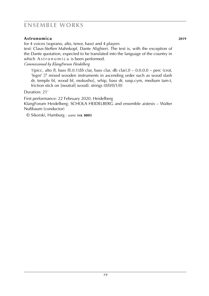### **Astronomica 2019**

for 4 voices (soprano, alto, tenor, bass) and 4 players

text: Claus-Steffen Mahnkopf, Dante Alighieri. The text is, with the exception of the Dante quotation, expected to be translated into the language of the country in which Astronomica is been performed.

*Commissioned by KlangForum Heidelberg*

1(picc, alto fl, bass fl).0.1(*Eb* clar, bass clar, db clar).0 – 0.0.0.0 – perc (crot, 'legni' [7 mixed wooden instruments in ascending order such as wood slash dr, temple bl, wood bl, mokusho], whip, bass dr, susp.cym, medium tam-t, friction stick on [neutral] wood). strings (0/0/0/1/0)

Duration: 21'

First performance: 22 February 2020, Heidelberg KlangForum Heidelberg: Schola Heidelberg and ensemble aistesis – Walter Nußbaum (conductor)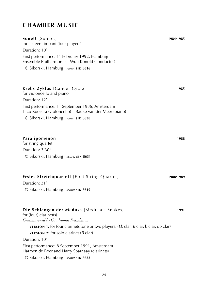| Sonett [Sonnet]<br>for sixteen timpani (four players)<br>Duration: 10'                                             | 1984/1985 |
|--------------------------------------------------------------------------------------------------------------------|-----------|
| First performance: 11 February 1992, Hamburg<br>Ensemble Philharmonie – Wulf Konold (conductor)                    |           |
| © Sikorski, Hamburg · score: SIK 8616                                                                              |           |
| Krebs-Zyklus [Cancer Cycle]<br>for violoncello and piano<br>Duration: 12'                                          | 1985      |
| First performance: 11 September 1986, Amsterdam                                                                    |           |
| Taco Kooistra (violoncello) - Bauke van der Meer (piano)                                                           |           |
| © Sikorski, Hamburg · score: SIK 8638                                                                              |           |
|                                                                                                                    |           |
| Paralipomenon<br>for string quartet                                                                                | 1988      |
| Duration: 3'30"                                                                                                    |           |
| © Sikorski, Hamburg · score: 51K 8631                                                                              |           |
|                                                                                                                    |           |
| <b>Erstes Streichquartett</b> [First String Quartet]<br>Duration: 31'                                              | 1988/1989 |
| © Sikorski, Hamburg · score: SIK 8619                                                                              |           |
|                                                                                                                    |           |
| Die Schlangen der Medusa [Medusa's Snakes]<br>for (four) clarinet(s)<br>Commissioned by Gaudeamus Foundation       | 1991      |
| <b>VERSION 1:</b> for four clarinets (one or two players: ( <i>Eb</i> clar, <i>B</i> clar, <i>b</i> clar, db clar) |           |
| <b>VERSION 2:</b> for solo clarinet ( $B$ clar)                                                                    |           |
| Duration: 10'                                                                                                      |           |
| First performance: 8 September 1991, Amsterdam<br>Harmen de Boer and Harry Sparnaay (clarinets)                    |           |
| © Sikorski, Hamburg · score: SIK 8633                                                                              |           |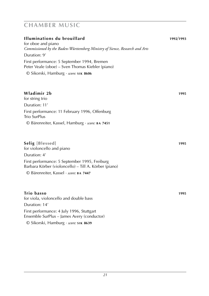| Illuminations du brouillard<br>for oboe and piano                                                      | 1992/1993 |  |  |  |  |
|--------------------------------------------------------------------------------------------------------|-----------|--|--|--|--|
| Commissioned by the Baden-Württemberg Ministry of Sience, Research and Arts                            |           |  |  |  |  |
| Duration: 9'                                                                                           |           |  |  |  |  |
| First performance: 5 September 1994, Bremen<br>Peter Veale (oboe) – Sven Thomas Kiebler (piano)        |           |  |  |  |  |
| © Sikorski, Hamburg · score: SIK 8606                                                                  |           |  |  |  |  |
| Wladimir 2b                                                                                            | 1995      |  |  |  |  |
| for string trio<br>Duration: 11'                                                                       |           |  |  |  |  |
| First performance: 11 February 1996, Offenburg<br>Trio SurPlus                                         |           |  |  |  |  |
| © Bärenreiter, Kassel, Hamburg · score: BA 7451                                                        |           |  |  |  |  |
| <b>Selig</b> [Blessed]<br>for violoncello and piano                                                    | 1995      |  |  |  |  |
| Duration: 4'                                                                                           |           |  |  |  |  |
| First performance: 5 September 1995, Freiburg<br>Barbara Körber (violoncello) - Till A. Körber (piano) |           |  |  |  |  |
| © Bärenreiter, Kassel · score: BA 7447                                                                 |           |  |  |  |  |
| Trio basso                                                                                             | 1995      |  |  |  |  |
| for viola, violoncello and double bass                                                                 |           |  |  |  |  |
| Duration: 14'                                                                                          |           |  |  |  |  |
| First performance: 4 July 1996, Stuttgart<br>Ensemble SurPlus – James Avery (conductor)                |           |  |  |  |  |
| © Sikorski, Hamburg · score: SIK 8639                                                                  |           |  |  |  |  |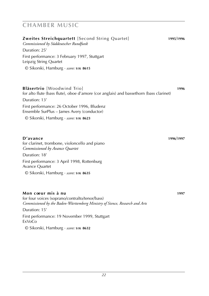| <b>Zweites Streichquartett</b> [Second String Quartet]<br>Commissioned by Süddeutscher Rundfunk                             | 1995/1996 |
|-----------------------------------------------------------------------------------------------------------------------------|-----------|
| Duration: 25'                                                                                                               |           |
| First performance: 3 February 1997, Stuttgart<br>Leipzig String Quartet                                                     |           |
| © Sikorski, Hamburg · score: SIK 8615                                                                                       |           |
|                                                                                                                             |           |
| <b>Bläsertrio</b> [Woodwind Trio]<br>for alto flute (bass flute), oboe d'amore (cor anglais) and bassethorn (bass clarinet) | 1996      |
| Duration: 13'                                                                                                               |           |
| First performance: 26 October 1996, Bludenz<br>Ensemble SurPlus – James Avery (conductor)                                   |           |
| © Sikorski, Hamburg · score: SIK 8623                                                                                       |           |
|                                                                                                                             |           |
| D'avance<br>for clarinet, trombone, violoncello and piano<br>Commissioned by Avance Quartet                                 | 1996/1997 |
| Duration: 18'                                                                                                               |           |
| First performance: 3 April 1998, Rottenburg<br>Avance Quartet                                                               |           |
| © Sikorski, Hamburg · score: SIK 8635                                                                                       |           |

### **Mon coeur mis à nu 1997**

for four voices (soprano/contralto/tenor/bass) *Commissioned by the Baden-Württemberg Ministry of Sience, Research and Arts*

Duration: 15' First performance: 19 November 1999, Stuttgart ExVoCo © Sikorski, Hamburg · *score:* **s i k 8632**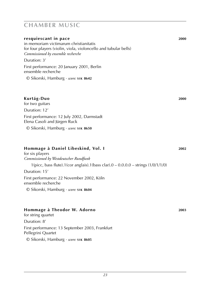| resquiescant in pace                                             | 2000 |
|------------------------------------------------------------------|------|
| in memoriam victimarum christianitatis                           |      |
| for four players (violin, viola, violoncello and tubular bells)  |      |
| Commissioned by ensemble recherche                               |      |
| Duration: 3'                                                     |      |
| First performance: 20 January 2001, Berlin<br>ensemble recherche |      |
| $\odot$ Sikorski, Hamburg · score: SIK 8642                      |      |
|                                                                  |      |
|                                                                  |      |
|                                                                  |      |

### **Kurtág-Duo 2000**

for two guitars

Duration: 12'

First performance: 12 July 2002, Darmstadt Elena Casoli and Jürgen Ruck

© Sikorski, Hamburg · *score:* **s i k 8650**

### **Hommage à Daniel Libeskind, Vol. I 2002**

for six players *Commissioned by Westdeutscher Rundfunk* 1(picc, bass flute).1(cor anglais).1(bass clar).0 – 0.0.0.0 – strings (1/0/1/1/0) Duration: 15' First performance: 22 November 2002, Köln ensemble recherche © Sikorski, Hamburg · *score:* **s i k 8604**

### **Hommage à Theodor W. Adorno 2003**

for string quartet Duration: 8' First performance: 13 September 2003, Frankfurt Pellegrini Quartet © Sikorski, Hamburg · *score:* **s i k 8605**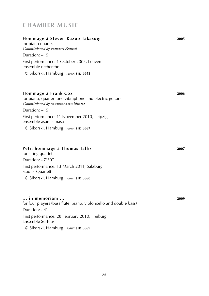| Hommage à Steven Kazuo Takasugi                                      | 2005 |
|----------------------------------------------------------------------|------|
| for piano quartet                                                    |      |
| Commissioned by Flanders Festival                                    |      |
| Duration: $~15'$                                                     |      |
| First performance: 1 October 2005, Leuven<br>ensemble recherche      |      |
| © Sikorski, Hamburg · score: SIK 8643                                |      |
| Hommage à Frank Cox                                                  | 2006 |
| for piano, quarter-tone vibraphone and electric guitar)              |      |
| Commissioned by ensemble asamisimasa                                 |      |
| Duration: $~15'$                                                     |      |
| First performance: 11 November 2010, Leipzig<br>ensemble asamisimasa |      |
| © Sikorski, Hamburg · score: SIK 8667                                |      |
| Petit hommage à Thomas Tallis<br>for string quartet                  | 2007 |
| Duration: $\sim$ 7'30"                                               |      |
| First performance: 13 March 2011, Salzburg<br>Stadler Quartett       |      |
| © Sikorski, Hamburg · score: SIK 8660                                |      |
| in memoriam                                                          | 2009 |
| for four players (bass flute, piano, violoncello and double bass)    |      |
| Duration: $~4'$                                                      |      |

Ensemble SurPlus © Sikorski, Hamburg · *score:* **s i k 8669**

First performance: 28 February 2010, Freiburg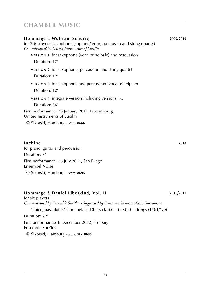| Hommage à Wolfram Schurig<br>for 2-6 players (saxophone [soprano/tenor], percussio and string quartet)<br>Commissioned by United Instruments of Lucilin | 2009/2010 |
|---------------------------------------------------------------------------------------------------------------------------------------------------------|-----------|
| <b>VERSION 1:</b> for saxophone (voce principale) and percussion<br>Duration: 12'                                                                       |           |
| <b>VERSION 2:</b> for saxophone, percussion and string quartet<br>Duration: 12'                                                                         |           |
| <b>VERSION 3:</b> for saxophone and percussion (voce principale)<br>Duration: 12'                                                                       |           |
| <b>VERSION 4: integrale version including versions 1-3</b><br>Duration: 36'                                                                             |           |
| First performance: 28 January 2011, Luxembourg<br>United Instruments of Lucilin                                                                         |           |
| © Sikorski, Hamburg · score: 8666                                                                                                                       |           |

### **Inchino 2010**

for piano, guitar and percussion Duration: 3' First performance: 16 July 2011, San Diego Ensembel Noise © Sikorski, Hamburg · *score:* **8695**

### **Hommage à Daniel Libeskind, Vol. II 2010**/**2011**

for six players *Commissioned by Ensemble SurPlus · Supported by Ernst von Siemens Music Foundation* 1(picc, bass flute).1(cor anglais).1(bass clar).0 – 0.0.0.0 – strings (1/0/1/1/0) Duration: 22' First performance: 8 December 2012, Freiburg Ensemble SurPlus © Sikorski, Hamburg · *score:* **s i k 8696**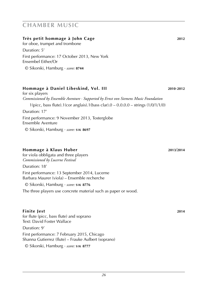### **Très petit hommage à John Cage 2012**

for oboe, trumpet and trombone

Duration: 5' First performance: 17 October 2013, New York Ensembel Either/Or

© Sikorski, Hamburg · *score:* **8744**

### **Hommage à Daniel Libeskind, Vol. III 2010**-**2012**

for six players *Commissioned by Ensemble Aventure · Supported by Ernst von Siemens Music Foundation* 1(picc, bass flute).1(cor anglais).1(bass clar).0 – 0.0.0.0 – strings (1/0/1/1/0) Duration: 17' First performance: 9 November 2013, Tosterglobe Ensemble Aventure © Sikorski, Hamburg · *score:* **s i k 8697**

### **Hommage à Klaus Huber 2013**/**2014**

for viola obbligata and three players *Commissioned by Lucerne Festival*

Duration: 18'

First performance: 13 September 2014, Lucerne Barbara Maurer (viola) – Ensemble recherche

© Sikorski, Hamburg · *score:* **s i k 8776**

The three players use concrete material such as paper or wood.

### **Finite Jest 2014**

for flute (picc, bass flute) and soprano Text: David Foster Wallace

### Duration: 9'

First performance: 7 February 2015, Chicago Shanna Gutierrez (flute) – Frauke Aulbert (soprano)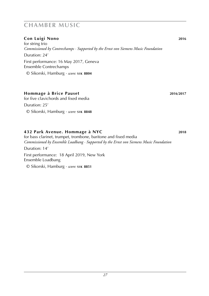### **Con Luigi Nono 2016**

for string trio *Commissioned by Contrechamps · Supported by the Ernst von Siemens Music Foundation* Duration: 24' First performance: 16 May 2017, Geneva Ensemble Contrechamps © Sikorski, Hamburg · *score:* **s i k 8804**

### **Hommage à Brice Pauset 2016**/**2017**

for five clavichords and fixed media Duration: 25' © Sikorski, Hamburg · *score:* **s i k 8848**

### **432 Park Avenue. Hommage à NYC 2018**

for bass clarinet, trumpet, trombone, baritone and fixed media *Commissioned by Ensemble Loadbang · Supported by the Ernst von Siemens Music Foundation* Duration: 14' First performance: 18 April 2019, New York Ensemble Loadbang © Sikorski, Hamburg · *score:* **s i k 8851**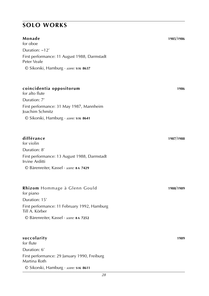### **Monade 1985**/**1986**

for oboe Duration: ~12' First performance: 11 August 1988, Darmstadt Peter Veale © Sikorski, Hamburg · *score:* **s i k 8637**

### **coincidentia oppositorum 1986**

for alto flute Duration: 7' First performance: 31 May 1987, Mannheim Joachim Schmitz © Sikorski, Hamburg · *score:* **s i k 8641**

#### **différance 1987**/**1988**

for violin Duration: 8' First performance: 13 August 1988, Darmstadt Irvine Arditti © Bärenreiter, Kassel · *score:* **b a 7429**

### **Rhizom** Hommage à Glenn Gould **1988**/**1989** for piano Duration: 15' First performance: 11 February 1992, Hamburg Till A. Körber © Bärenreiter, Kassel · *score:* **b a 7252**

#### **succolarity 1989**

for flute Duration: 6' First performance: 29 January 1990, Freiburg Martina Roth © Sikorski, Hamburg · *score:* **s i k 8611**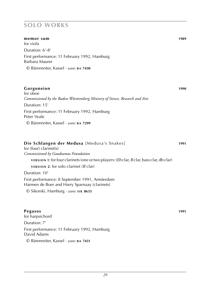| memor sum                                                                                               | 1989 |
|---------------------------------------------------------------------------------------------------------|------|
| for viola                                                                                               |      |
| Duration: 6'-8'                                                                                         |      |
| First performance: 11 February 1992, Hamburg<br>Barbara Maurer                                          |      |
| © Bärenreiter, Kassel · score: BA 7430                                                                  |      |
|                                                                                                         |      |
| Gorgoneion                                                                                              | 1990 |
| for oboe                                                                                                |      |
| Commissioned by the Baden-Württemberg Ministry of Sience, Research and Arts                             |      |
| Duration: 15'                                                                                           |      |
| First performance: 11 February 1992, Hamburg<br>Peter Veale                                             |      |
| © Bärenreiter, Kassel · score: BA 7299                                                                  |      |
|                                                                                                         |      |
| Die Schlangen der Medusa [Medusa's Snakes]                                                              | 1991 |
| for (four) clarinet(s)                                                                                  |      |
| Commissioned by Gaudeamus Foundation                                                                    |      |
| version 1: for four clarinets (one or two players: ( <i>Eb</i> clar, <i>B</i> clar, bass clar, db clar) |      |
| <b>VERSION 2:</b> for solo clarinet ( $B$ clar)                                                         |      |
| Duration: 10'                                                                                           |      |

First performance: 8 September 1991, Amsterdam Harmen de Boer and Harry Sparnaay (clarinets)

© Sikorski, Hamburg · *score:* **s i k 8633**

### **Pegasos 1991**

for harpsichord Duration: 7' First performance: 11 February 1992, Hamburg David Adams © Bärenreiter, Kassel · *score:* **b a 7431**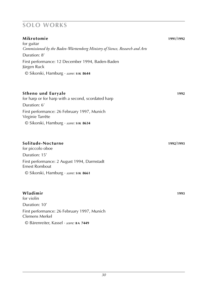| Mikrotomie<br>for guitar                                                                    | 1991/1992 |
|---------------------------------------------------------------------------------------------|-----------|
| Commissioned by the Baden-Württemberg Ministry of Sience, Research and Arts<br>Duration: 8' |           |
| First performance: 12 December 1994, Baden-Baden<br>Jürgen Ruck                             |           |
| © Sikorski, Hamburg · score: SIK 8644                                                       |           |
|                                                                                             | 1992      |
| <b>Stheno und Euryale</b><br>for harp or for harp with a second, scordated harp             |           |
| Duration: 6'                                                                                |           |
| First performance: 26 February 1997, Munich<br>Virginie Tarrête                             |           |
| © Sikorski, Hamburg · score: SIK 8634                                                       |           |
| Solitude-Nocturne                                                                           | 1992/1993 |
| for piccolo oboe                                                                            |           |
| Duration: 15'                                                                               |           |
| First performance: 2 August 1994, Darmstadt<br><b>Ernest Rombout</b>                        |           |
| © Sikorski, Hamburg · score: SIK 8661                                                       |           |
| Wladimir                                                                                    | 1993      |
| for violin                                                                                  |           |
| Duration: 10'                                                                               |           |

First performance: 26 February 1997, Munich

© Bärenreiter, Kassel · *score:* **b a 7449**

Clemens Merkel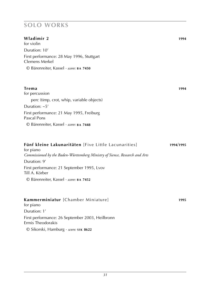| Wladimir 2<br>for violin                                                                 | 1994      |
|------------------------------------------------------------------------------------------|-----------|
| Duration: 10'                                                                            |           |
| First performance: 28 May 1996, Stuttgart<br><b>Clemens Merkel</b>                       |           |
| © Bärenreiter, Kassel · score: BA 7450                                                   |           |
| <b>Trema</b>                                                                             | 1994      |
| for percussion                                                                           |           |
| perc (timp, crot, whip, variable objects)                                                |           |
| Duration: $\sim 5'$                                                                      |           |
| First performance: 21 May 1995, Freiburg<br>Pascal Pons                                  |           |
| © Bärenreiter, Kassel · score: BA 7448                                                   |           |
|                                                                                          |           |
| Fünf kleine Lakunaritäten [Five Little Lacunarities]                                     | 1994/1995 |
| for piano<br>Commissioned by the Baden-Württemberg Ministry of Sience, Research and Arts |           |
| Duration: 9'                                                                             |           |
| First performance: 21 September 1995, Lvov<br>Till A. Körber                             |           |
| © Bärenreiter, Kassel · score: BA 7452                                                   |           |
|                                                                                          |           |
| Kammerminiatur [Chamber Miniature]<br>for piano                                          | 1995      |
| Duration: 1'                                                                             |           |
| First performance: 26 September 2003, Heilbronn<br>Ermis Theodorakis                     |           |
| © Sikorski, Hamburg · score: SIK 8622                                                    |           |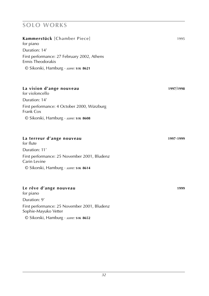## **Kammerstück** [Chamber Piece] 1995

for piano Duration: 14' First performance: 27 February 2002, Athens Ermis Theodorakis

© Sikorski, Hamburg · *score:* **s i k 8621**

### **La vision d'ange nouveau 1997**/**1998**

for violoncello Duration: 14' First performance: 4 October 2000, Würzburg Frank Cox © Sikorski, Hamburg · *score:* **s i k 8608**

### **La terreur d'ange nouveau 1997**-**1999**

for flute Duration: 11' First performance: 25 November 2001, Bludenz Carin Levine © Sikorski, Hamburg · *score:* **s i k 8614**

### **Le rêve d'ange nouveau 1999**

for piano Duration: 9' First performance: 25 November 2001, Bludenz Sophie-Mayuko Vetter © Sikorski, Hamburg · *score:* **s i k 8652**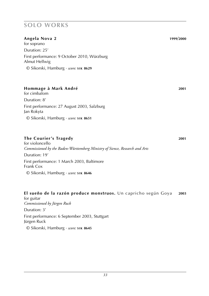### **Angela Nova 2 1999**/**2000**

for soprano Duration: 25' First performance: 9 October 2010, Würzburg Almut Hellwig © Sikorski, Hamburg · *score:* **s i k 8629**

### **Hommage à Mark André 2001**

for cimbalom Duration: 8' First performance: 27 August 2003, Salzburg Jan Rokyta © Sikorski, Hamburg · *score:* **s i k 8651**

### **The Courier's Tragedy 2001**

for violoncello *Commissioned by the Baden-Württemberg Ministry of Sience, Research and Arts* Duration: 19' First performance: 1 March 2003, Baltimore Frank Cox © Sikorski, Hamburg · *score:* **s i k 8646**

# **El sueño de la razón produce monstruos.** Un capricho según Goya **2003**

for guitar *Commissioned by Jürgen Ruck* Duration: 3' First performance: 6 September 2003, Stuttgart Jürgen Ruck © Sikorski, Hamburg · *score:* **s i k 8645**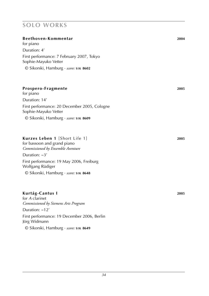| Beethoven-Kommentar                                                  | 2004 |
|----------------------------------------------------------------------|------|
| for piano                                                            |      |
| Duration: 4'                                                         |      |
| First performance: 7 February 2007, Tokyo<br>Sophie-Mayuko Vetter    |      |
| $\odot$ Sikorski, Hamburg · score: SIK 8602                          |      |
|                                                                      |      |
| Prospero-Fragmente<br>for piano                                      | 2005 |
| Duration: 14'                                                        |      |
| First performance: 20 December 2005, Cologne<br>Sophie-Mayuko Vetter |      |

### **Kurzes Leben 1** [Short Life 1] **2005**

for bassoon and grand piano *Commissioned by Ensemble Aventure* Duration: ~3' First performance: 19 May 2006, Freiburg Wolfgang Rüdiger © Sikorski, Hamburg · *score:* **s i k 8648**

### **Kurtág-Cantus I 2005**

for *A* clarinet *Commissioned by Siemens Arts Program* Duration: ~12' First performance: 19 December 2006, Berlin Jörg Widmann © Sikorski, Hamburg · *score:* **s i k 8649**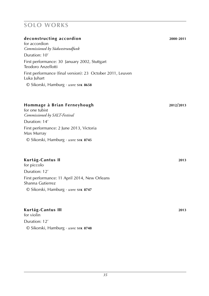#### **deconstructing accordion 2000**-**2011**

for accordion *Commissioned by Südwestrundfunk* Duration: 10' First performance: 30 January 2002, Stuttgart Teodoro Anzellotti First performance (final version): 23 October 2011, Leuven Luka Juhart © Sikorski, Hamburg · *score:* **s i k 8658**

### **Hommage à Brian Ferneyhough 2012/2013**

for one tubist *Commissioned by SALT-Festival* Duration: 14' First performance: 2 June 2013, Victoria Max Murray

© Sikorski, Hamburg · *score:* **s i k 8745**

### **Kurtág-Cantus II 2013**

for piccolo Duration: 12' First performance: 11 April 2014, New Orleans Shanna Gutierrez © Sikorski, Hamburg · *score:* **s i k 8747**

### **Kurtág-Cantus III 2013**

for violin Duration: 12' © Sikorski, Hamburg · *score:* **s i k 8748**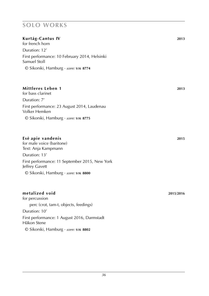### **Kurtág-Cantus IV 2013**

for french horn Duration: 12' First performance: 10 February 2014, Helsinki Samuel Stoll © Sikorski, Hamburg · *score:* **s i k 8774**

### **Mittleres Leben 1 2013**

for bass clarinet Duration: 7' First performance: 23 August 2014, Laudenau Volker Hemken © Sikorski, Hamburg · *score:* **s i k 8775**

### **Ese· apie vandenis 2015**

for male voice (baritone) Text: Anja Kampmann Duration: 13' First performance: 11 September 2015, New York Jeffrey Gavett © Sikorski, Hamburg · *score:* **s i k 8800**

### **metalized void 2015**/**2016**

for percussion perc (crot, tam-t, objects, feedings) Duration: 10' First performance: 1 August 2016, Darmstadt Håkon Stene © Sikorski, Hamburg · *score:* **s i k 8802**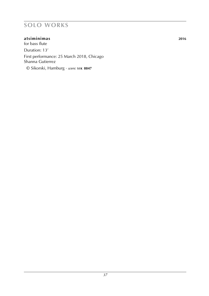### **atsiminimas 2016**

for bass flute Duration: 13' First performance: 25 March 2018, Chicago Shanna Gutierrez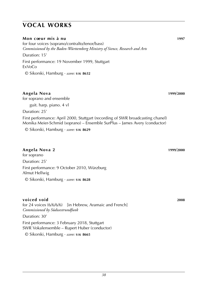#### **Mon coeur mis à nu 1997**

for four voices (soprano/contralto/tenor/bass) *Commissioned by the Baden-Württemberg Ministry of Sience, Research and Arts* Duration: 15' First performance: 19 November 1999, Stuttgart ExVoCo

© Sikorski, Hamburg · *score:* **s i k 8632**

### **Angela Nova 1999**/**2000**

for soprano and ensemble guit. harp. piano. 4 vl Duration: 25' First performance: April 2000, Stuttgart (recording of SWR broadcasting chanel) Monika Meier-Schmid (soprano) – Ensemble SurPlus – James Avery (conductor)

© Sikorski, Hamburg · *score:* **s i k 8629**

### **Angela Nova 2 1999**/**2000**

for soprano Duration: 25' First performance: 9 October 2010, Würzburg Almut Hellwig © Sikorski, Hamburg · *score:* **s i k 8628**

### **voiced void 2008**

for 24 voices (6/6/6/6) [in Hebrew, Aramaic and French] *Commissioned by Südwestrundfunk*

Duration: 30'

First performance: 3 February 2018, Stuttgart SWR Vokalensemble – Rupert Huber (conductor)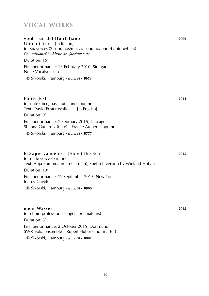| void – un delitto italiano<br>Un epitaffio [in Italian]<br>for six voices (2 sopranos/mezzo-soprano/tenor/baritone/bass)<br>Commissioned by Musik der Jahrhunderte | 2009 |
|--------------------------------------------------------------------------------------------------------------------------------------------------------------------|------|
| Duration: 15'                                                                                                                                                      |      |
| First performance: 13 February 2010, Stuttgart<br>Neue Vocalsolisten                                                                                               |      |
| © Sikorski, Hamburg · score: SIK 8653                                                                                                                              |      |
| Finite Jest<br>for flute (picc, bass flute) and soprano<br>Text: David Foster Wallace [in English]<br>Duration: 9'                                                 | 2014 |
| First performance: 7 February 2015, Chicago<br>Shanna Gutierrez (flute) – Frauke Aulbert (soprano)<br>© Sikorski, Hamburg · score: SIK 8777                        |      |
| Esė apie vandenis<br>[About the Sea]<br>for male voice (baritone)<br>Text: Anja Kampmann (in German), Englisch version by Wieland Hoban<br>Duration: 13'           | 2015 |
| First performance: 11 September 2015, New York<br>Jeffrey Gavett                                                                                                   |      |
| © Sikorski, Hamburg · score: SIK 8800                                                                                                                              |      |
| mehr Wasser<br>for choir (professional singers or amateurs)<br>Duration: 5'                                                                                        | 2015 |
| First performance: 2 October 2015, Dortmund<br>SWR-Vokalensemble - Rupert Huber (choirmaster)                                                                      |      |
| © Sikorski, Hamburg · score: SIK 8801                                                                                                                              |      |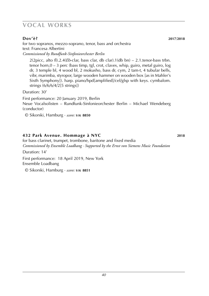### **Dov'è? 2017**/**2018**

for two sopranos, mezzo-soprano, tenor, bass and orchestra text: Francesa Albertini *Commissioned by Rundfunk-Sinfonieorchester Berlin*

2(2picc, alto fl).2.4(*Eb*-clar, bass clar, db clar).1(db bn) – 2.1.tenor-bass trbn. tenor horn,0 – 3 perc (bass timp, tgl, crot, claves, whip, guiro, metal guiro, log dr, 3 temple bl, 4 wood bl, 2 mokusho, bass dr, cym, 2 tam-t, 4 tubular bells, vibr, marimba, styropor, large wooden hammer on wooden box [as in Mahler's Sixth Symphony]). harp. piano/hpd[amplified]/cel/glsp with keys. cymbalom. strings (6/6/6/4/2[5 strings])

Duration: 30'

First performance: 20 January 2019, Berlin Neue Vocalsolisten – Rundfunk-Sinfonieorchester Berlin – Michael Wendeberg (conductor)

© Sikorski, Hamburg · *score:* **s i k 8850**

### **432 Park Avenue. Hommage à NYC 2018**

for bass clarinet, trumpet, trombone, baritone and fixed media *Commissioned by Ensemble Loadbang · Supported by the Ernst von Siemens Music Foundation*

Duration: 14'

First performance: 18 April 2019, New York Ensemble Loadbang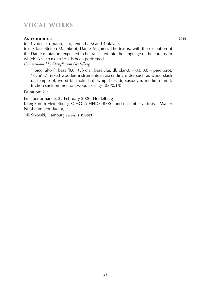### **Astronomica 2019**

for 4 voices (soprano, alto, tenor, bass) and 4 players

text: Claus-Steffen Mahnkopf, Dante Alighieri. The text is, with the exception of the Dante quotation, expected to be translated into the language of the country in which Astronomica is been performed.

*Commissioned by KlangForum Heidelberg*

1(picc, alto fl, bass fl).0.1(*Eb* clar, bass clar, db clar).0 – 0.0.0.0 – perc (crot, 'legni' [7 mixed wooden instruments in ascending order such as wood slash dr, temple bl, wood bl, mokusho], whip, bass dr, susp.cym, medium tam-t, friction stick on [neutral] wood). strings (0/0/0/1/0)

Duration: 21'

First performance: 22 February 2020, Heidelberg KlangForum Heidelberg: Schola Heidelberg and ensemble aistesis – Walter Nußbaum (conductor)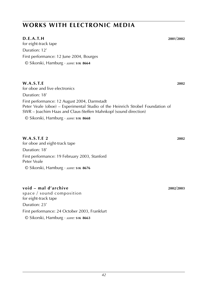## **works with electronic media**

### **D.E.A.T.H 2001**/**2002**

for eight-track tape Duration: 12' First performance: 12 June 2004, Bourges © Sikorski, Hamburg · *score:* **s i k 8664**

### **W.A.S.T.E 2002** for oboe and live electronics Duration: 18' First performance: 12 August 2004, Darmstadt Peter Veale (oboe) – Experimental Studio of the Heinrich Strobel Foundation of SWR – Joachim Haas and Claus-Steffen Mahnkopf (sound direction) © Sikorski, Hamburg · *score:* **s i k 8668**

#### **W.A.S.T.E 2 2002** for oboe and eight-track tape

Duration: 18' First performance: 19 February 2003, Stanford Peter Veale © Sikorski, Hamburg · *score:* **s i k 8676**

### **void – mal d'archive 2002**/**2003**

space / sound composition for eight-track tape Duration: 23' First performance: 24 October 2003, Frankfurt © Sikorski, Hamburg · *score:* **s i k 8663**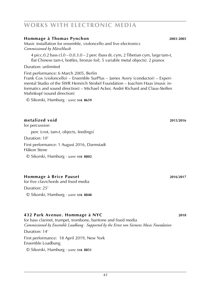## **works with electronic media**

### **Hommage à Thomas Pynchon 2003**-**2005**

Music installation for ensemble, violoncello and live electronics *Commissioned by MärzMusik*

4 picc.0.2 bass  $cl.0 - 0.0.3.0 - 2$  perc (bass dr, cym, 2 Tibetian cym, large tam-t, flat Chinese tam-t, bottles, bronze foil, 5 variable metal objects). 2 pianos

Duration: unlimited

First performance: 6 March 2005, Berlin

Frank Cox (violoncello) – Ensemble SurPlus – James Avery (conductor) – Experimental Studio of the SWR Heinrich Strobel Foundation – Joachim Haas (music informatics and sound direction) – Michael Acker, André Richard and Claus-Steffen Mahnkopf (sound direction)

© Sikorski, Hamburg · *score:* **s i k 8659**

### **metalized void 2015**/**2016**

for percussion

perc (crot, tam-t, objects, feedings)

Duration: 10'

First performance: 1 August 2016, Darmstadt Håkon Stene

© Sikorski, Hamburg · *score:* **s i k 8802**

### **Hommage à Brice Pauset 2016**/**2017**

for five clavichords and fixed media

Duration: 25'

© Sikorski, Hamburg · *score:* **s i k 8848**

### **432 Park Avenue. Hommage à NYC 2018**

for bass clarinet, trumpet, trombone, baritone and fixed media *Commissioned by Ensemble Loadbang · Supported by the Ernst von Siemens Music Foundation* Duration: 14' First performance: 18 April 2019, New York Ensemble Loadbang © Sikorski, Hamburg · *score:* **s i k 8851**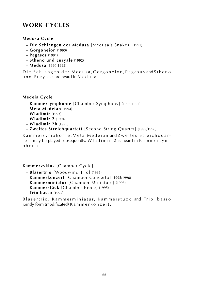## **work cycles**

### **Medusa Cycle**

- **Die Schlangen der Medusa** [Medusa's Snakes] (1991)
- **Gorgoneion** (1990)
- **Pegasos** (1991)
- **Stheno und Euryale** (1992)
- **Medusa** (1990-1992)

Die Schlangen der Medusa, Gorgoneion, Pegasus and Stheno und Euryale are heard in Medusa

## **Medeia Cycle**

- **Kammersymphonie** [Chamber Symphony] (1993-1994)
- **Meta Medeian** (1994)
- **Wladimir** (1993)
- **Wladimir 2** (1994)
- **Wladimir 2b** (1995)
- **Zweites Streichquartett** [Second String Quartet] (1999/1996)

Kammersymphonie, Meta Medeian and Zweites Streichquartett may be played subsequently. W  $l$  ad imir 2 is heard in K a m m e r s y m p h o n i e .

## **Kammerzyklus** [Chamber Cycle]

- **Bläsertrio** [Woodwind Trio] (1996)
- **Kammerkonzert** [Chamber Concerto] (1995/1996)
- **Kammerminiatur** [Chamber Miniature] (1995)
- **Kammerstück** [Chamber Piece] (1995)
- **Trio basso** (1995)

Bläsertrio, Kammerminiatur, Kammerstück and Trio basso jointly form (modificated) K a m m e r k o n z e r t .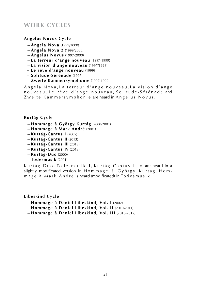## **work cycles**

### **Angelus Novus Cycle**

- **Angela Nova** (1999/2000)
- **Angela Nova 2** (1999/2000)
- **Angelus Novus** (1997-2000)
- **La terreur d'ange nouveau** (1997-1999)
- **La vision d'ange nouveau** (1997/1998)
- **Le rêve d'ange nouveau** (1999)
- **Solitude-Sérénade** (1997)
- **– Zweite Kammersymphonie** (1997-1999)

Angela Nova, La terreur d'ange nouveau, La vision d'ange nouveau, Le rêve d'ange nouveau, Solitude-Sérénade and Zweite Kammersymphonie are heard in Angelus Novus.

### **Kurtág Cycle**

- **Hommage à György Kurtág** (2000/2001)
- **Hommage à Mark André** (2001)
- **Kurtág-Cantus I** (2005)
- **Kurtág-Cantus II** (2013)
- **Kurtág-Cantus III** (2013)
- **Kurtág-Cantus IV** (2013)
- **Kurtág-Duo** (2000)
- **Todesmusik** (2001)

Kurtág-Duo, Todesmusik I, Kurtág-Cantus I-IV are heard in a slightly modificated version in Hommage à György Kurtág. Hommage à Mark André is heard (modificated) in To desmusik I.

### **Libeskind Cycle**

- **Hommage à Daniel Libeskind, Vol. I** (2002)
- **Hommage à Daniel Libeskind, Vol. II** (2010-2011)
- **Hommage à Daniel Libeskind, Vol. III** (2010-2012)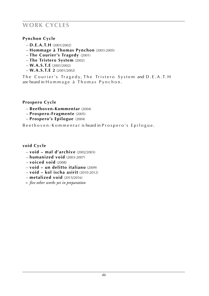## **work cycles**

## **Pynchon Cycle**

- **D.E.A.T.H** (2001/2002)
- **Hommage à Thomas Pynchon** (2003-2005)
- **The Courier's Tragedy** (2001)
- **The Tristero System** (2002)
- **W.A.S.T.E** (2001/2002)
- **W.A.S.T.E 2** (2001/2002)

The Courier's Tragedy, The Tristero System and D.E.A.T.H are heard in Hommage à Thomas Pynchon.

## **Prospero Cycle**

- **Beethoven-Kommentar** (2004)
- **Prospero-Fragmente** (2005)
- **Prospero's Epilogue** (2004)

Beethoven-Kommentar is heard in Prospero's Epilogue.

## **void Cycle**

- **void mal d'archive** (2002/2003)
- **humanized void** (2003-2007)
- **voiced void** (2008)
- **void un delitto italiano** (2009)
- **void kol ischa asirit** (2010-2012)
- **metalized void** (2015/2016)
- **–** *five other works yet in preparation*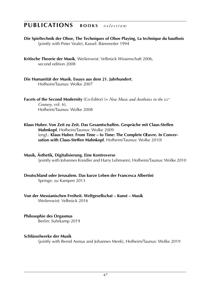## **PUBLICATIONS BOOKS** (selection)

**Die Spieltechnik der Oboe, The Techniques of Oboe Playing, La technique du hautbois** (jointly with Peter Veale), Kassel: Bärenreiter 1994

**Kritische Theorie der Musik**, Weilerswist: Velbrück Wissenschaft 2006, second edition 2008

**Die Humanität der Musik. Essays aus dem 21. Jahrhundert**, Hofheim/Taunus: Wolke 2007

**Facets of the Second Modernity** (Co-Editor) (= *New Music and Aesthetics in the* 21*st Century*, vol. 6), Hofheim/Taunus: Wolke 2008

**Klaus Huber. Von Zeit zu Zeit. Das Gesamtschaffen. Gespräche mit Claus-Steffen Mahnkopf**, Hofheim/Taunus: Wolke 2009 (engl.: **Klaus Huber. From Time – to Time: The Complete OEuvre. In Conversation with Claus-Steffen Mahnkopf**, Hofheim/Taunus: Wolke 2010)

**Musik, Ästhetik, Digitalisierung. Eine Kontroverse** (jointly with Johannes Kreidler and Harry Lehmann), Hofheim/Taunus: Wolke 2010

**Deutschland oder Jerusalem. Das kurze Leben der Francesca Albertini** Springe: zu Kampen 2013

**Von der Messianischen Freiheit. Weltgesellschat – Kunst – Musik** Weilerswist: Velbrück 2016

**Philosophie des Orgasmus** Berlin: Suhrkamp 2019

### **Schlüsselwerke der Musik**

(jointly with Bernd Asmus and Johannes Menk), Hofheim/Taunus: Wolke 2019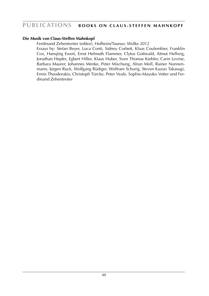## **PUBLICATIONS BOOKS ON CLAUS-STEFFEN MAHNKOPF**

### **Die Musik von Claus-Steffen Mahnkopf**

Ferdinand Zehentreiter (editor), Hofheim/Taunus: Wolke 2012 Essays by: Stefan Beyer, Luca Conti, Sidney Corbett, Klaas Coulembier, Franklin Cox, Hansjörg Ewert, Ernst Helmuth Flammer, Clytus Gottwald, Almut Hellwig, Jonathan Hepfer, Egbert Hiller, Klaus Huber, Sven Thomas Kiebler, Carin Levine, Barbara Maurer, Johannes Menke, Peter Mischung, Alrun Moll, Rainer Nonnenmann, Jürgen Ruck, Wolfgang Rüdiger, Wolfram Schurig, Steven Kazuo Takasugi, Ermis Theodorakis, Christoph Türcke, Peter Veale, Sophie-Mayuko Vetter und Ferdinand Zehentreiter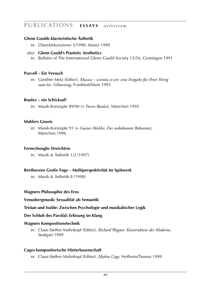## **Publications E s s a y s** *(s e l e c t i o n)*

### **Glenn Goulds klavieristische Ästhetik**

in: Üben&Musizieren 5/1990, Mainz 1990

### also: **Glenn Gould's Pianistic Aesthetics**

in: Bulletin of The International Glenn Gould Society 15/16, Groningen 1991

### **Purcell – Ein Versuch**

in: Günther Metz (Editor), *Musica – scientia et ars: eine Festgabe für Peter Förtig zum* 60*. Geburtstag*, Frankfurt/Main 1995

#### **Boulez – ein Schicksal?**

in: Musik-Konzepte 89/90 (= *Pierre Boulez*), München 1995

### **Mahlers Gnosis**

in: Musik-Konzepte 91 (= *Gustav Mahler. Der unbekannte Bekannte*), München 1996

### **Ferneyhoughs Streichtrio**

in: Musik & Ästhetik 1/2 (1997)

### **Beethovens Große Fuge – Multiperspektivität im Spätwerk**

in: Musik & Ästhetik 8 (1998)

### **Wagners Philosophie des Eros**

#### **Venusbergmusik: Sexualität als Semantik**

### **Tristan und Isolde: Zwischen Psychologie und musikalischer Logik**

### **Der Schluß des Parsifal: Erlösung im Klang**

### **Wagners Kompositionstechnik**

in: Claus-Steffen Mahnkopf (Editor), *Richard Wagner. Konstrukteur der Moderne*, Stuttgart 1999

### **Cages kompositorische Hinterlassenschaft**

in: Claus-Steffen Mahnkopf (Editor), *Mythos Cage*, Hofheim/Taunus 1999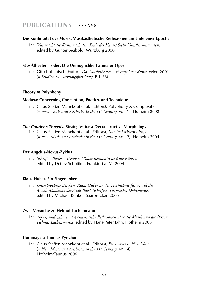## **Publications E s s a y s**

### **Die Kontinuität der Musik. Musikästhetische Reflexionen am Ende einer Epoche**

in: *Was macht die Kunst nach dem Ende der Kunst? Sechs Künstler antworten*, edited by Günter Seubold, Würzburg 2000

### *Musik***theater – oder: Die Unmöglichkeit atonaler Oper**

in: Otto Kolleritsch (Editor), *Das Musiktheater – Exempel der Kunst*, Wien 2001 (= *Studien zur Wertungsforschung*, Bd. 38)

### **Theory of Polyphony**

### **Medusa: Concerning Conception, Poetics, and Technique**

in: Claus-Steffen Mahnkopf et al. (Editors), Polyphony & Complexity (= *New Music and Aesthetics in the* 21*st Century*, vol. 1), Hofheim 2002

### *The Courier's Tragedy***. Strategies for a Deconstructive Morphology**

in: Claus-Steffen Mahnkopf et al. (Editors), *Musical Morphology* (= *New Music and Aesthetics in the* 21*st Century*, vol. 2), Hofheim 2004

### **Der Angelus-Novus-Zyklus**

in: *Schrift – Bilder – Denken. Walter Benjamin und die Künste*, edited by Detlev Schöttker, Frankfurt a. M. 2004

### **Klaus Huber. Ein Eingedenken**

in: *Unterbrochene Zeichen. Klaus Huber an der Hochschule für Musik der Musik-Akademie der Stadt Basel. Schriften, Gespräche, Dokumente*, edited by Michael Kunkel, Saarbrücken 2005

### **Zwei Versuche zu Helmut Lachenmann**

in: *auf (-) und zuhören.* 14 *essayistische Reflexionen über die Musik und die Person Helmut Lachenmanns*, edited by Hans-Peter Jahn, Hofheim 2005

### **Hommage à Thomas Pynchon**

 In: Claus-Steffen Mahnkopf et al. (Editors), *Electronics in New Music* (= *New Music and Aesthetics in the* 21*st Century*, vol. 4), Hofheim/Taunus 2006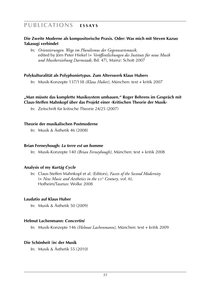## **Publications E s s a y s**

### **Die Zweite Moderne als kompositorische Praxis. Oder: Was mich mit Steven Kazuo Takasugi verbindet**

 In: *Orientierungen. Wege im Pluralismus der Gegenwartsmusik*, edited by Jörn Peter Hiekel (= *Veröffentlichungen des Instituts für neue Musik und Musikerziehung Darmstadt*, Bd. 47), Mainz: Schott 2007

### **Polykulturalität als Polyphonietypus. Zum Alterswerk Klaus Hubers**

In: Musik-Konzepte 137/138 *(Klaus Huber)*, München: text + kritik 2007

### **"Man müsste das komplette Musiksystem umbauen." Roger Behrens im Gespräch mit Claus-Steffen Mahnkopf über das Projekt einer ›Kritischen Theorie der Musik‹**

In: Zeitschrift für kritische Theorie 24/25 (2007)

#### **Theorie der musikalischen Postmoderne**

In: Musik & Ästhetik 46 (2008)

#### **Brian Ferneyhough:** *La terre est un homme*

In: Musik-Konzepte 140 *(Brian Ferneyhough)*, München: text + kritik 2008

### **Analysis of my** *Kurtág Cycle*

 In: Claus-Steffen Mahnkopf et al. (Editors), *Facets of the Second Modernity* (= *New Music and Aesthetics in the* 21*st Century*, vol. 6), Hofheim/Taunus: Wolke 2008

### **Laudatio auf Klaus Huber**

In: Musik & Ästhetik 50 (2009)

### **Helmut Lachenmann:** *Concertini*

In: Musik-Konzepte 146 *(Helmut Lachenmann)*, München: text + kritik 2009

### **Die Schönheit** (**in**) **der Musik**

In: Musik & Ästhetik 55 (2010)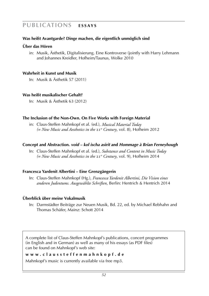## **Publications E s s a y s**

### **Was heißt Avantgarde? Dinge machen, die eigentlich unmöglich sind**

#### **Über das Hören**

in: Musik, Ästhetik, Digitalisierung. Eine Kontroverse (jointly with Harry Lehmann and Johannes Kreidler, Hofheim/Taunus, Wolke 2010

#### **Wahrheit in Kunst und Musik**

In: Musik & Ästhetik 57 (2011)

#### **Was heißt musikalischer Gehalt?**

In: Musik & Ästhetik 63 (2012)

#### **The Inclusion of the Non-Own. On Five Works with Foreign Material**

in: Claus-Steffen Mahnkopf et al. (ed.), *Musical Material Today (= New Music and Aesthetics in the* 21*st Century*, vol. 8), Hofheim 2012

#### **Concept and Abstraction.** *void – kol ischa asirit* **and** *Hommage à Brian Ferneyhough*

 In: Claus-Steffen Mahnkopf et al. (ed.), *Substance and Content in Music Today (= New Music and Aesthetics in the* 21*st Century*, vol. 9), Hofheim 2014

### **Francesca Yardenit Albertini – Eine Grenzgängerin**

 In: Claus-Steffen Mahnkopf (Hg.), *Francesca Yardenit Albertini, Die Vision eines anderen Judentums. Ausgewählte Schriften*, Berlin: Hentrich & Hentrich 2014

#### **Überblick über meine Vokalmusik**

 In: Darmstädter Beiträge zur Neuen Musik, Bd. 22, ed. by Michael Rebhahn and Thomas Schäfer, Mainz: Schott 2014

A complete list of Claus-Steffen Mahnkopf's publications, concert programmes (in English and in German) as well as many of his essays (as PDF files) can be found on Mahnkopf's web site:

**w w w . c l a u s s t e f f e n m a h n k o p f . d e**

Mahnkopf's music is currently available via free mp3.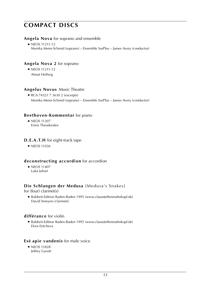#### **Angela Nova** for soprano and ensemble

■ NEOS 11211-12 Monika Meier-Schmid (soprano) – Ensemble SurPlus – James Avery (conductor)

### **Angela Nova 2** for soprano

 ■ NEOS 11211-12 Almut Hellwig

### **Angelus Novus** *Music* Theatre

■ RCA 74321 7 3630 2 (excerpts) Monika Meier-Schmid (soprano) – Ensemble SurPlus – James Avery (conductor)

### **Beethoven-Kommentar** for piano

■ NEOS 11207 Ermis Theodorakis

### **D.E.A.T.H** for eight-track tape

■ NEOS 11036

### **deconstructing accordion** for accordion

■ NEOS 11407 Luka Juhart

### **Die Schlangen der Medusa** [Medusa's Snakes]

### for (four) clarinet(s)

■ Baldreit-Edition Baden-Baden 1995 (www.claussteffenmahnkopf.de) David Smeyers (clarinets)

#### **différance** for violin

■ Baldreit-Edition Baden-Baden 1995 (www.claussteffenmahnkopf.de) Dora Entcheva

### **Esé apie vandenis** for male voice

■ NEOS 11828 Jeffrey Gavett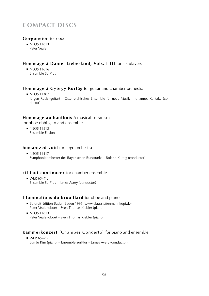### **Gorgoneion** for oboe

■ NEOS 11813 Peter Veale

### **Hommage à Daniel Liebeskind, Vols. I**-**III** for six players

■ NEOS 11616 Ensemble SurPlus

### **Hommage à György Kurtág** for guitar and chamber orchestra

■ NEOS 11307 Jürgen Ruck (guitar) – Österreichisches Ensemble für neue Musik – Johannes Kalitzke (conductor)

### **Hommage au hautbois** A musical ostracism

for oboe obbligato and ensemble

■ NEOS 11813 Ensemble Elision

#### **humanized void** for large orchestra

■ NEOS 11417 Symphonieorchester des Bayerischen Rundfunks – Roland Kluttig (conductor)

### **»il faut continuer«** for chamber ensemble

■ WER 6547 2 Ensemble SurPlus – James Avery (conductor)

### **Illuminations du brouillard** for oboe and piano

- Baldreit-Edition Baden-Baden 1995 (www.claussteffenmahnkopf.de) Peter Veale (oboe) – Sven Thomas Kiebler (piano)
- NEOS 11813 Peter Veale (oboe) – Sven Thomas Kiebler (piano)

### **Kammerkonzert** [Chamber Concerto] for piano and ensemble

 ■ WER 6547 2 Eun Ju Kim (piano) – Ensemble SurPlus – James Avery (conductor)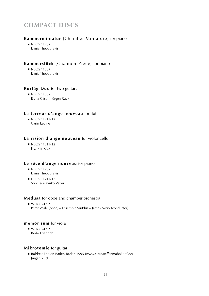### **Kammerminiatur** [Chamber Miniature] for piano

■ NEOS 11207 Ermis Theodorakis

### **Kammerstück** [Chamber Piece] for piano

■ NEOS 11207 Ermis Theodorakis

### **Kurtág-Duo** for two guitars

■ NEOS 11307 Elena Càsoli, Jürgen Ruck

### **La terreur d'ange nouveau** for flute

 ■ NEOS 11211-12 Carin Levine

### **La vision d'ange nouveau** for violoncello

 ■ NEOS 11211-12 Franklin Cox

### **Le rêve d'ange nouveau** for piano

- NEOS 11207 Ermis Theodorakis
- NFOS 11211-12 Sophie-Mayuko Vetter

### **Medusa** for oboe and chamber orchestra

 $WFR65472$ Peter Veale (oboe) – Ensemble SurPlus – James Avery (conductor)

#### **memor sum** for viola

■ WFR 6547 2 Bodo Friedrich

#### **Mikrotomie** for guitar

■ Baldreit-Edition Baden-Baden 1995 (www.claussteffenmahnkopf.de) Jürgen Ruck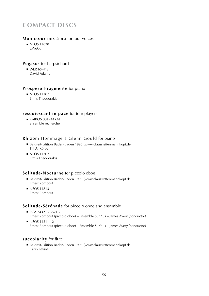### **Mon coeur mis à nu** for four voices

■ NEOS 11828 ExVoCo

### **Pegasos** for harpsichord

■ WER 6547 2 David Adams

### **Prospero-Fragmente** for piano

■ NEOS 11207 Ermis Theodorakis

### **resquiescant in pace** for four players

 ■ KAIROS 001244KAI ensemble recherche

### **Rhizom** Hommage à Glenn Gould for piano

- Baldreit-Edition Baden-Baden 1995 (www.claussteffenmahnkopf.de) Till A. Körber
- NEOS 11207 Ermis Theodorakis

### **Solitude-Nocturne** for piccolo oboe

- Baldreit-Edition Baden-Baden 1995 (www.claussteffenmahnkopf.de) Ernest Rombout
- NEOS 11813 Ernest Rombout

### **Solitude-Sérénade** for piccolo oboe and ensemble

- RCA 74321 73621 2 Ernest Rombout (piccolo oboe) – Ensemble SurPlus – James Avery (conductor)
- NEOS 11211-12 Ernest Rombout (piccolo oboe) – Ensemble SurPlus – James Avery (conductor)

### **succolarity** for flute

■ Baldreit-Edition Baden-Baden 1995 (www.claussteffenmahnkopf.de) Carin Levine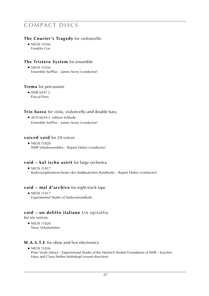### **The Courier's Tragedy** for violoncello

■ NEOS 11036 Franklin Cox

### **The Tristero System** for ensemble

■ NEOS 11036 Ensemble SurPlus – James Avery (conductor)

#### **Trema** for percussion

 $N$ FR 6547 2 Pascal Pons

### **Trio basso** for viola, violoncello and double bass

■ ACD 6024-3. edition Solitude Ensemble SurPlus – James Avery (conductor)

### **voiced void** for 24 voices

■ NEOS 11828 SWR Vokalensembles – Rupert Huber (conductor)

### **void – kol ischa asirit** for large orchestra

■ NEOS 11417 Radiosymphonieorchester des Süddeutschen Rundfunks – Rupert Huber (conductor)

### **void – mal d'archive** for eight-track tape

■ NEOS 11417 Experimental Studio of Südwestrundfunk

### **void – un delitto italiano** Un epitaffio

for six voices

■ NEOS 11828 Neue Vokalsolisten

### **W.A.S.T.E** for oboe and live electronics

■ NEOS 11036

Peter Veale (oboe) – Experimental Studio of the Heinrich Strobel Foundation of SWR – Joachim Haas and Claus-Steffen Mahnkopf (sound direction)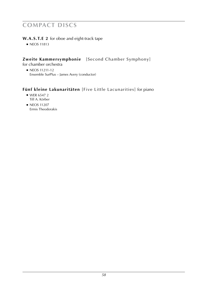### **W.A.S.T.E 2** for oboe and eight-track tape

■ NEOS 11813

### **Zweite Kammersymphonie** [Second Chamber Symphony]

for chamber orchestra

■ NEOS 11211-12 Ensemble SurPlus – James Avery (conductor)

## **Fünf kleine Lakunaritäten** [Five Little Lacunarities] for piano

- WER 6547 2 Till A. Körber
- NEOS 11207 Ermis Theodorakis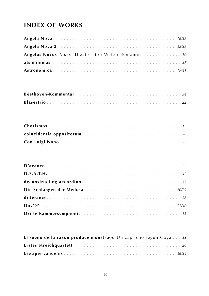# **index of works**

| Angelus Novus Music Theatre after Walter Benjamin 10 |  |
|------------------------------------------------------|--|
|                                                      |  |
|                                                      |  |

| coincidentia oppositorum contractor contractor contractor and 28 |  |  |  |  |  |  |  |  |  |  |  |  |  |
|------------------------------------------------------------------|--|--|--|--|--|--|--|--|--|--|--|--|--|
|                                                                  |  |  |  |  |  |  |  |  |  |  |  |  |  |

| deconstructing accordion contained and the contract of the set of the set of the set of the set of the set of the set of the set of the set of the set of the set of the set of the set of the set of the set of the set of th |  |  |  |  |  |  |  |  |  |  |  |  |  |
|--------------------------------------------------------------------------------------------------------------------------------------------------------------------------------------------------------------------------------|--|--|--|--|--|--|--|--|--|--|--|--|--|
|                                                                                                                                                                                                                                |  |  |  |  |  |  |  |  |  |  |  |  |  |
|                                                                                                                                                                                                                                |  |  |  |  |  |  |  |  |  |  |  |  |  |
|                                                                                                                                                                                                                                |  |  |  |  |  |  |  |  |  |  |  |  |  |
|                                                                                                                                                                                                                                |  |  |  |  |  |  |  |  |  |  |  |  |  |

| El sueño de la razón produce monstruos Un capricho según Goya  33 |  |  |  |
|-------------------------------------------------------------------|--|--|--|
|                                                                   |  |  |  |
|                                                                   |  |  |  |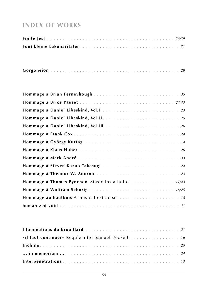## **index of works**

|--|--|--|--|--|--|

| Hommage à Brian Ferneyhough  35                   |  |
|---------------------------------------------------|--|
|                                                   |  |
|                                                   |  |
|                                                   |  |
|                                                   |  |
|                                                   |  |
|                                                   |  |
|                                                   |  |
|                                                   |  |
| Hommage à Steven Kazuo Takasugi  24               |  |
|                                                   |  |
| Hommage à Thomas Pynchon Music installation 17/43 |  |
|                                                   |  |
|                                                   |  |
|                                                   |  |

| »il faut continuer« Requiem for Samuel Beckett  16 |  |
|----------------------------------------------------|--|
|                                                    |  |
|                                                    |  |
|                                                    |  |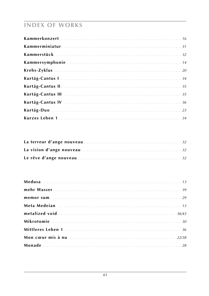# **INDEX OF WORKS**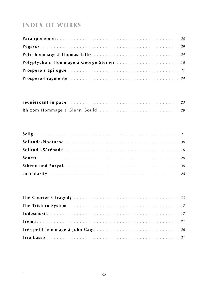# **index of works**

| Polyptychon. Hommage à George Steiner  18 |
|-------------------------------------------|
|                                           |
|                                           |

| Rhizom Hommage à Glenn Gould  28 |  |
|----------------------------------|--|